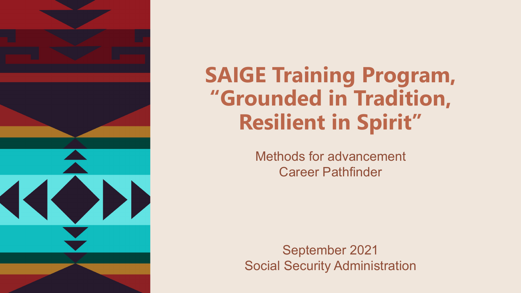

### **SAIGE Training Program, "Grounded in Tradition, Resilient in Spirit"**

Methods for advancement Career Pathfinder

September 2021 Social Security Administration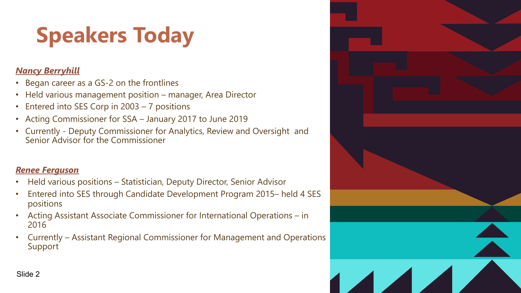# **Speakers Today**

#### *Nancy Berryhill*

- Began career as a GS-2 on the frontlines
- Held various management position manager, Area Director
- Entered into SES Corp in 2003 7 positions
- Acting Commissioner for SSA January 2017 to June 2019
- Currently Deputy Commissioner for Analytics, Review and Oversight and Senior Advisor for the Commissioner

#### *Renee Ferguson*

- Held various positions Statistician, Deputy Director, Senior Advisor
- Entered into SES through Candidate Development Program 2015– held 4 SES positions
- Acting Assistant Associate Commissioner for International Operations in 2016
- Currently Assistant Regional Commissioner for Management and Operations Support

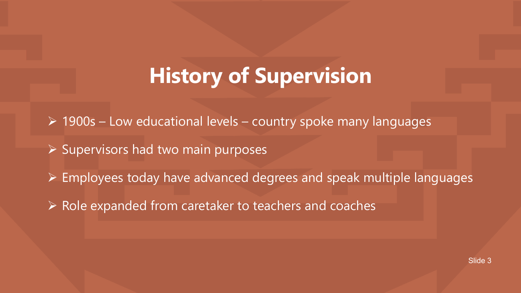### **History of Supervision**

 $\triangleright$  1900s – Low educational levels – country spoke many languages

- $\triangleright$  Supervisors had two main purposes
- $\triangleright$  Employees today have advanced degrees and speak multiple languages
- $\triangleright$  Role expanded from caretaker to teachers and coaches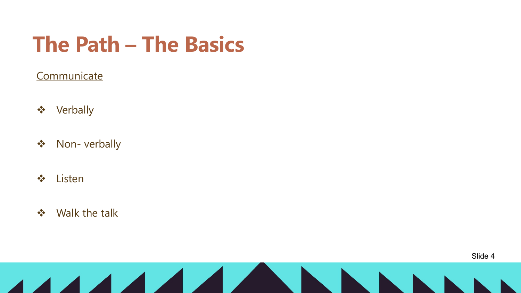## **The Path – The Basics**

### **Communicate**

- ❖ Verbally
- ❖ Non- verbally
- v Listen
- $\div$  Walk the talk

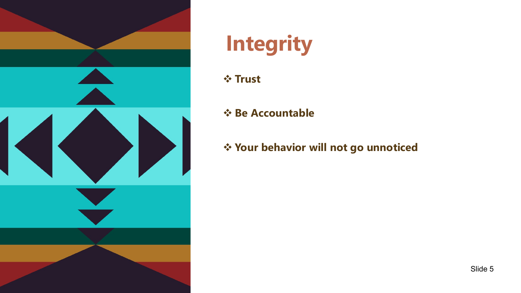

# **Integrity**

v **Trust** 

### v **Be Accountable**

v **Your behavior will not go unnoticed**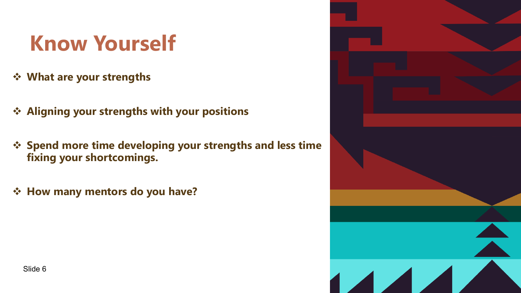## **Know Yourself**

- $\diamond$  What are your strengths
- **❖ Aligning your strengths with your positions**
- *<b>❖* Spend more time developing your strengths and less time **fixing your shortcomings.**
- *❖* **How many mentors do you have?**

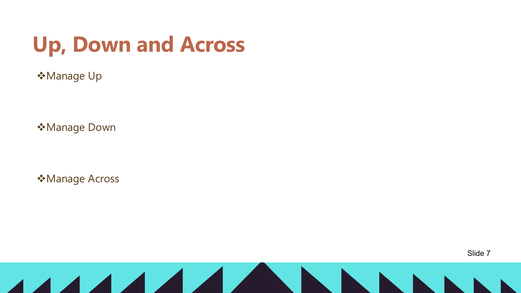## **Up, Down and Across**

 **Manage Up** 

vManage Down

 **Manage Across**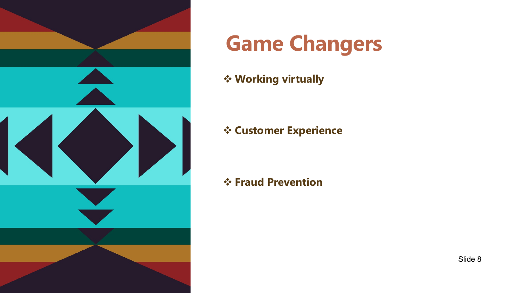

## **Game Changers**

v **Working virtually** 

### v **Customer Experience**

#### v **Fraud Prevention**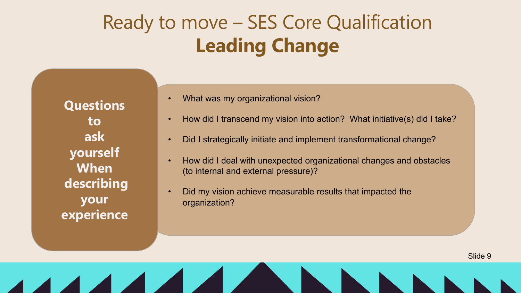### Ready to move – SES Core Qualification **Leading Change**

**Questions to ask yourself When describing your experience**

- What was my organizational vision?
- How did I transcend my vision into action? What initiative(s) did I take?
- Did I strategically initiate and implement transformational change?
- How did I deal with unexpected organizational changes and obstacles (to internal and external pressure)?
- Did my vision achieve measurable results that impacted the organization?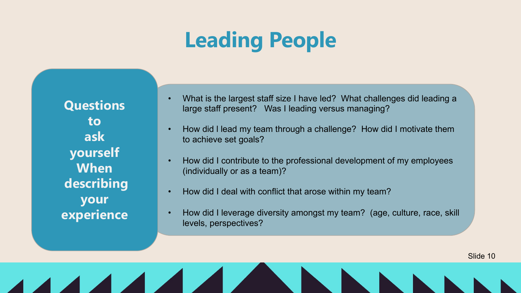## **Leading People**

**Questions to ask yourself When describing your experience**

- What is the largest staff size I have led? What challenges did leading a large staff present? Was I leading versus managing?
- How did I lead my team through a challenge? How did I motivate them to achieve set goals?
- How did I contribute to the professional development of my employees (individually or as a team)?
- How did I deal with conflict that arose within my team?
- How did I leverage diversity amongst my team? (age, culture, race, skill levels, perspectives?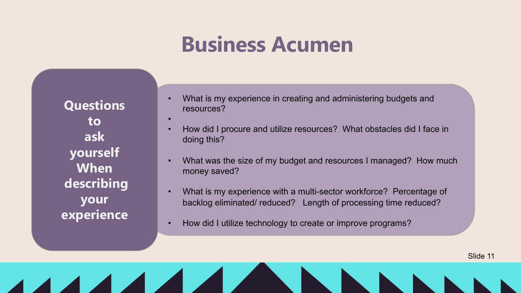### **Business Acumen**

**Questions to ask yourself When describing your experience**

•

- What is my experience in creating and administering budgets and resources?
- How did I procure and utilize resources? What obstacles did I face in doing this?
- What was the size of my budget and resources I managed? How much money saved?
- What is my experience with a multi-sector workforce? Percentage of backlog eliminated/ reduced? Length of processing time reduced?

Slide 11

• How did I utilize technology to create or improve programs?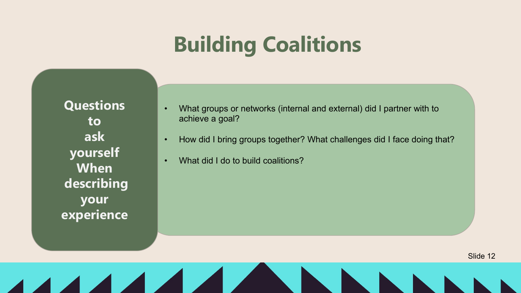## **Building Coalitions**

**Questions to ask yourself When describing your experience**

- What groups or networks (internal and external) did I partner with to achieve a goal?
- How did I bring groups together? What challenges did I face doing that?
- What did I do to build coalitions?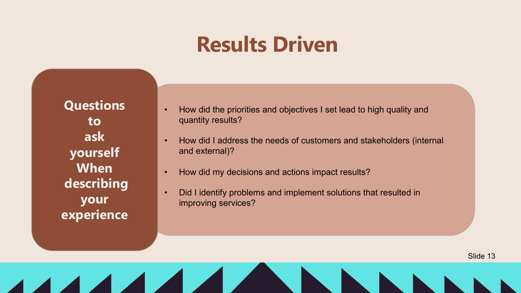### **Results Driven**

**Questions to ask yourself When describing your experience**

- How did the priorities and objectives I set lead to high quality and quantity results?
- How did I address the needs of customers and stakeholders (internal and external)?
- How did my decisions and actions impact results?
- Did I identify problems and implement solutions that resulted in improving services?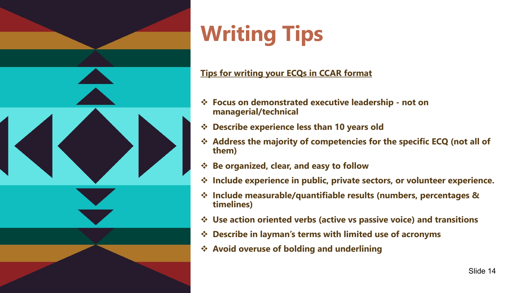

# **Writing Tips**

#### **Tips for writing your ECQs in CCAR format**

- v **Focus on demonstrated executive leadership - not on managerial/technical**
- **→ Describe experience less than 10 years old**
- v **Address the majority of competencies for the specific ECQ (not all of them)**
- v **Be organized, clear, and easy to follow**
- $\div$  Include experience in public, private sectors, or volunteer experience.
- v **Include measurable/quantifiable results (numbers, percentages & timelines)**
- **↓ Use action oriented verbs (active vs passive voice) and transitions**
- **<sup>❖</sup> Describe in layman's terms with limited use of acronyms**
- v **Avoid overuse of bolding and underlining**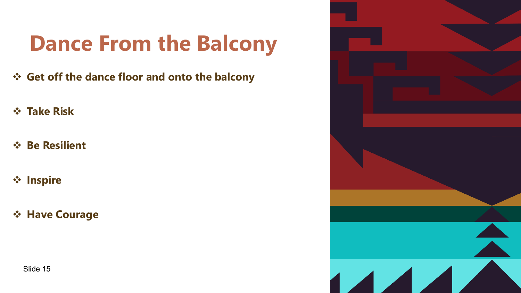## **Dance From the Balcony**

- v **Get off the dance floor and onto the balcony**
- v **Take Risk**
- v **Be Resilient**
- v **Inspire**
- v **Have Courage**